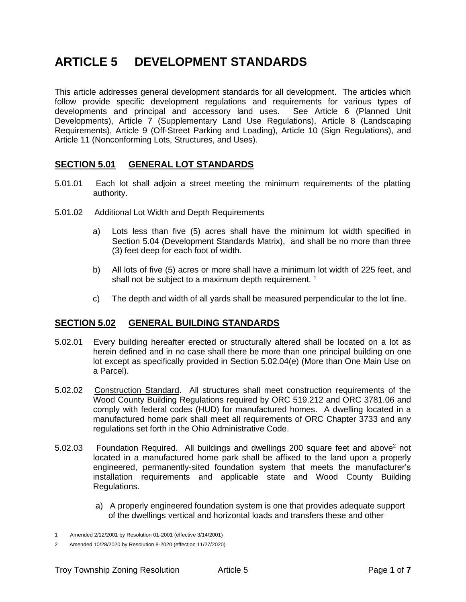# <span id="page-0-0"></span>**ARTICLE 5 DEVELOPMENT STANDARDS**

This article addresses general development standards for all development. The articles which follow provide specific development regulations and requirements for various types of developments and principal and accessory land uses. See [Article 6](#page-6-0) (Planned Unit Developments), Article 7 (Supplementary Land Use Regulations), Article 8 (Landscaping Requirements), Article 9 (Off-Street Parking and Loading), Article 10 (Sign Regulations), and Article 11 (Nonconforming Lots, Structures, and Uses).

### **SECTION 5.01 GENERAL LOT STANDARDS**

- 5.01.01 Each lot shall adjoin a street meeting the minimum requirements of the platting authority.
- 5.01.02 Additional Lot Width and Depth Requirements
	- a) Lots less than five (5) acres shall have the minimum lot width specified in [Section 5.04](#page-5-0) (Development Standards Matrix), and shall be no more than three (3) feet deep for each foot of width.
	- b) All lots of five (5) acres or more shall have a minimum lot width of 225 feet, and shall not be subject to a maximum depth requirement.  $1$
	- c) The depth and width of all yards shall be measured perpendicular to the lot line.

#### **SECTION 5.02 GENERAL BUILDING STANDARDS**

- 5.02.01 Every building hereafter erected or structurally altered shall be located on a lot as herein defined and in no case shall there be more than one principal building on one lot except as specifically provided in [Section 5.02.04\(e\)](#page-1-0) (More than One Main Use on a Parcel).
- 5.02.02 Construction Standard. All structures shall meet construction requirements of the Wood County Building Regulations required by ORC 519.212 and ORC 3781.06 and comply with federal codes (HUD) for manufactured homes. A dwelling located in a manufactured home park shall meet all requirements of ORC Chapter 3733 and any regulations set forth in the Ohio Administrative Code.
- 5.02.03 Foundation Required. All buildings and dwellings 200 square feet and above<sup>2</sup> not located in a manufactured home park shall be affixed to the land upon a properly engineered, permanently-sited foundation system that meets the manufacturer's installation requirements and applicable state and Wood County Building Regulations.
	- a) A properly engineered foundation system is one that provides adequate support of the dwellings vertical and horizontal loads and transfers these and other

<sup>1</sup> Amended 2/12/2001 by Resolution 01-2001 (effective 3/14/2001)

<sup>2</sup> Amended 10/28/2020 by Resolution 8-2020 (effection 11/27/2020)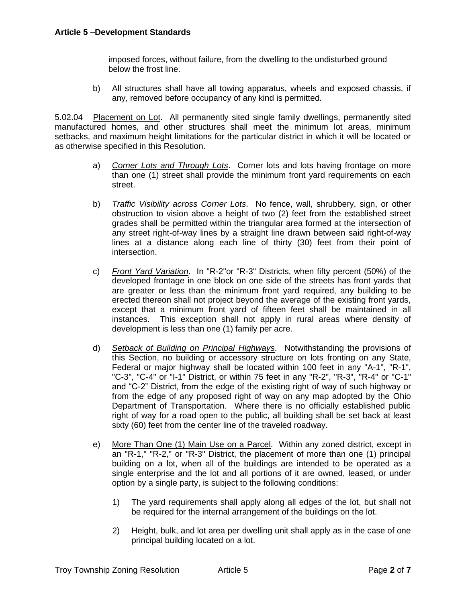imposed forces, without failure, from the dwelling to the undisturbed ground below the frost line.

b) All structures shall have all towing apparatus, wheels and exposed chassis, if any, removed before occupancy of any kind is permitted.

5.02.04 Placement on Lot. All permanently sited single family dwellings, permanently sited manufactured homes, and other structures shall meet the minimum lot areas, minimum setbacks, and maximum height limitations for the particular district in which it will be located or as otherwise specified in this Resolution.

- a) *Corner Lots and Through Lots*. Corner lots and lots having frontage on more than one (1) street shall provide the minimum front yard requirements on each street.
- b) *Traffic Visibility across Corner Lots*. No fence, wall, shrubbery, sign, or other obstruction to vision above a height of two (2) feet from the established street grades shall be permitted within the triangular area formed at the intersection of any street right-of-way lines by a straight line drawn between said right-of-way lines at a distance along each line of thirty (30) feet from their point of intersection.
- c) *Front Yard Variation*. In "R-2"or "R-3" Districts, when fifty percent (50%) of the developed frontage in one block on one side of the streets has front yards that are greater or less than the minimum front yard required, any building to be erected thereon shall not project beyond the average of the existing front yards, except that a minimum front yard of fifteen feet shall be maintained in all instances. This exception shall not apply in rural areas where density of development is less than one (1) family per acre.
- d) *Setback of Building on Principal Highways*. Notwithstanding the provisions of this Section, no building or accessory structure on lots fronting on any State, Federal or major highway shall be located within 100 feet in any "A-1", "R-1", "C-3", "C-4" or "I-1" District, or within 75 feet in any "R-2", "R-3", "R-4" or "C-1" and "C-2" District, from the edge of the existing right of way of such highway or from the edge of any proposed right of way on any map adopted by the Ohio Department of Transportation. Where there is no officially established public right of way for a road open to the public, all building shall be set back at least sixty (60) feet from the center line of the traveled roadway.
- <span id="page-1-0"></span>e) More Than One (1) Main Use on a Parcel. Within any zoned district, except in an "R-1," "R-2," or "R-3" District, the placement of more than one (1) principal building on a lot, when all of the buildings are intended to be operated as a single enterprise and the lot and all portions of it are owned, leased, or under option by a single party, is subject to the following conditions:
	- 1) The yard requirements shall apply along all edges of the lot, but shall not be required for the internal arrangement of the buildings on the lot.
	- 2) Height, bulk, and lot area per dwelling unit shall apply as in the case of one principal building located on a lot.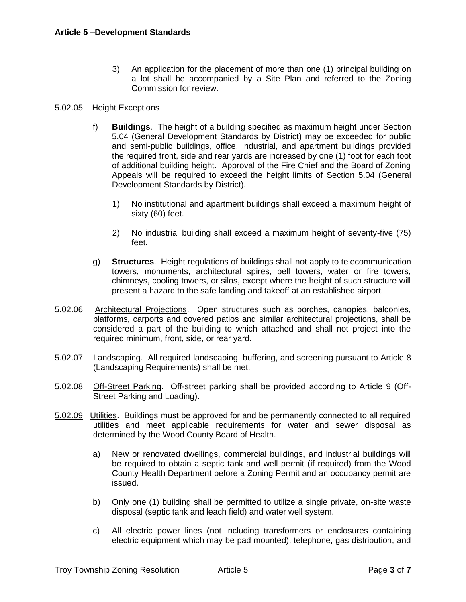3) An application for the placement of more than one (1) principal building on a lot shall be accompanied by a Site Plan and referred to the Zoning Commission for review.

#### 5.02.05 Height Exceptions

- f) **Buildings**. The height of a building specified as maximum height under [Section](#page-5-0)  [5.04](#page-5-0) (General Development Standards by District) may be exceeded for public and semi-public buildings, office, industrial, and apartment buildings provided the required front, side and rear yards are increased by one (1) foot for each foot of additional building height. Approval of the Fire Chief and the Board of Zoning Appeals will be required to exceed the height limits of [Section 5.04](#page-5-0) (General Development Standards by District).
	- 1) No institutional and apartment buildings shall exceed a maximum height of sixty (60) feet.
	- 2) No industrial building shall exceed a maximum height of seventy-five (75) feet.
- g) **Structures**. Height regulations of buildings shall not apply to telecommunication towers, monuments, architectural spires, bell towers, water or fire towers, chimneys, cooling towers, or silos, except where the height of such structure will present a hazard to the safe landing and takeoff at an established airport.
- 5.02.06 Architectural Projections. Open structures such as porches, canopies, balconies, platforms, carports and covered patios and similar architectural projections, shall be considered a part of the building to which attached and shall not project into the required minimum, front, side, or rear yard.
- 5.02.07 Landscaping. All required landscaping, buffering, and screening pursuant to Article 8 (Landscaping Requirements) shall be met.
- 5.02.08 Off-Street Parking. Off-street parking shall be provided according to Article 9 (Off-Street Parking and Loading).
- 5.02.09 Utilities. Buildings must be approved for and be permanently connected to all required utilities and meet applicable requirements for water and sewer disposal as determined by the Wood County Board of Health.
	- a) New or renovated dwellings, commercial buildings, and industrial buildings will be required to obtain a septic tank and well permit (if required) from the Wood County Health Department before a Zoning Permit and an occupancy permit are issued.
	- b) Only one (1) building shall be permitted to utilize a single private, on-site waste disposal (septic tank and leach field) and water well system.
	- c) All electric power lines (not including transformers or enclosures containing electric equipment which may be pad mounted), telephone, gas distribution, and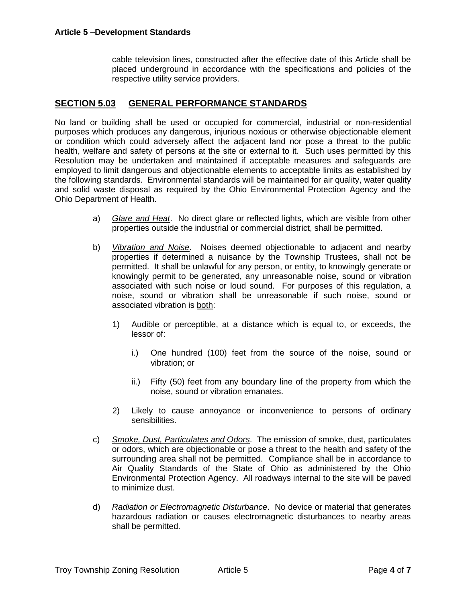cable television lines, constructed after the effective date of this Article shall be placed underground in accordance with the specifications and policies of the respective utility service providers.

#### **SECTION 5.03 GENERAL PERFORMANCE STANDARDS**

No land or building shall be used or occupied for commercial, industrial or non-residential purposes which produces any dangerous, injurious noxious or otherwise objectionable element or condition which could adversely affect the adjacent land nor pose a threat to the public health, welfare and safety of persons at the site or external to it. Such uses permitted by this Resolution may be undertaken and maintained if acceptable measures and safeguards are employed to limit dangerous and objectionable elements to acceptable limits as established by the following standards. Environmental standards will be maintained for air quality, water quality and solid waste disposal as required by the Ohio Environmental Protection Agency and the Ohio Department of Health.

- a) *Glare and Heat*. No direct glare or reflected lights, which are visible from other properties outside the industrial or commercial district, shall be permitted.
- b) *Vibration and Noise*. Noises deemed objectionable to adjacent and nearby properties if determined a nuisance by the Township Trustees, shall not be permitted. It shall be unlawful for any person, or entity, to knowingly generate or knowingly permit to be generated, any unreasonable noise, sound or vibration associated with such noise or loud sound. For purposes of this regulation, a noise, sound or vibration shall be unreasonable if such noise, sound or associated vibration is both:
	- 1) Audible or perceptible, at a distance which is equal to, or exceeds, the lessor of:
		- i.) One hundred (100) feet from the source of the noise, sound or vibration; or
		- ii.) Fifty (50) feet from any boundary line of the property from which the noise, sound or vibration emanates.
	- 2) Likely to cause annoyance or inconvenience to persons of ordinary sensibilities.
- c) *Smoke, Dust, Particulates and Odors*. The emission of smoke, dust, particulates or odors, which are objectionable or pose a threat to the health and safety of the surrounding area shall not be permitted. Compliance shall be in accordance to Air Quality Standards of the State of Ohio as administered by the Ohio Environmental Protection Agency. All roadways internal to the site will be paved to minimize dust.
- d) *Radiation or Electromagnetic Disturbance*. No device or material that generates hazardous radiation or causes electromagnetic disturbances to nearby areas shall be permitted.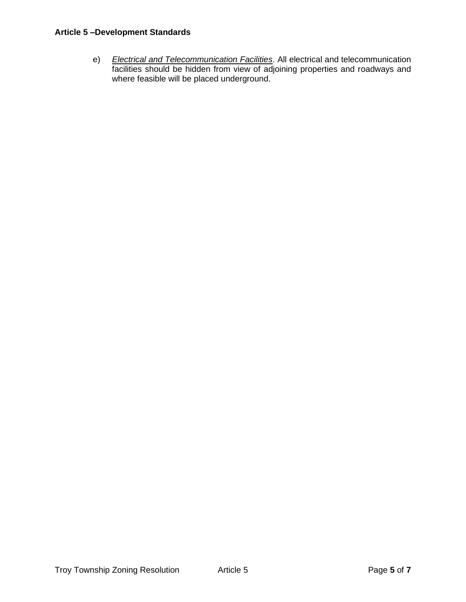#### **Article 5 –Development Standards**

e) *Electrical and Telecommunication Facilities*. All electrical and telecommunication facilities should be hidden from view of adjoining properties and roadways and where feasible will be placed underground.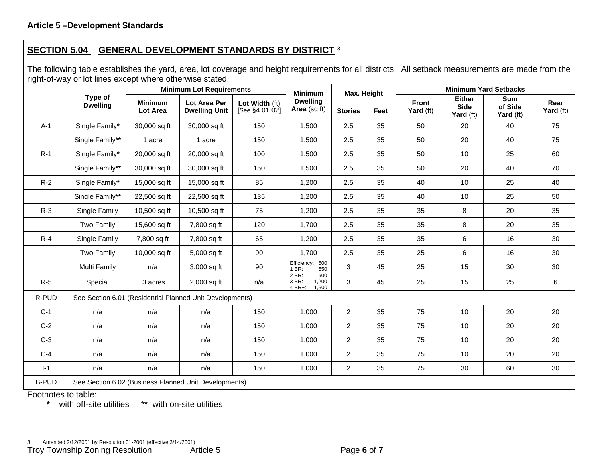# **SECTION 5.04 GENERAL DEVELOPMENT STANDARDS BY DISTRICT** <sup>3</sup>

The following table establishes the yard, area, lot coverage and height requirements for all districts. All setback measurements are made from the right-of-way or lot lines except where otherwise stated.

<span id="page-5-0"></span>

|              |                                                          | <b>Minimum Lot Requirements</b>                       |                                             |                                  | <b>Minimum</b>                                      | Max. Height    |      | <b>Minimum Yard Setbacks</b> |                                           |                                    |                   |  |
|--------------|----------------------------------------------------------|-------------------------------------------------------|---------------------------------------------|----------------------------------|-----------------------------------------------------|----------------|------|------------------------------|-------------------------------------------|------------------------------------|-------------------|--|
|              | Type of<br><b>Dwelling</b>                               | <b>Minimum</b><br>Lot Area                            | <b>Lot Area Per</b><br><b>Dwelling Unit</b> | Lot Width (ft)<br>[See §4.01.02] | <b>Dwelling</b><br>Area (sq ft)                     | <b>Stories</b> | Feet | Front<br>Yard (ft)           | <b>Either</b><br><b>Side</b><br>Yard (ft) | <b>Sum</b><br>of Side<br>Yard (ft) | Rear<br>Yard (ft) |  |
| $A-1$        | Single Family*                                           | 30,000 sq ft                                          | 30,000 sq ft                                | 150                              | 1,500                                               | 2.5            | 35   | 50                           | 20                                        | 40                                 | 75                |  |
|              | Single Family**                                          | 1 acre                                                | 1 acre                                      | 150                              | 1,500                                               | 2.5            | 35   | 50                           | 20                                        | 40                                 | 75                |  |
| $R-1$        | Single Family*                                           | 20,000 sq ft                                          | 20,000 sq ft                                | 100                              | 1,500                                               | 2.5            | 35   | 50                           | 10                                        | 25                                 | 60                |  |
|              | Single Family**                                          | 30,000 sq ft                                          | 30,000 sq ft                                | 150                              | 1,500                                               | 2.5            | 35   | 50                           | 20                                        | 40                                 | 70                |  |
| $R-2$        | Single Family*                                           | 15,000 sq ft                                          | 15,000 sq ft                                | 85                               | 1,200                                               | 2.5            | 35   | 40                           | 10                                        | 25                                 | 40                |  |
|              | Single Family**                                          | 22,500 sq ft                                          | 22,500 sq ft                                | 135                              | 1,200                                               | 2.5            | 35   | 40                           | 10                                        | 25                                 | 50                |  |
| $R-3$        | Single Family                                            | 10,500 sq ft                                          | 10,500 sq ft                                | 75                               | 1,200                                               | 2.5            | 35   | 35                           | 8                                         | 20                                 | 35                |  |
|              | Two Family                                               | 15,600 sq ft                                          | 7,800 sq ft                                 | 120                              | 1,700                                               | 2.5            | 35   | 35                           | 8                                         | 20                                 | 35                |  |
| $R-4$        | Single Family                                            | 7,800 sq ft                                           | 7,800 sq ft                                 | 65                               | 1,200                                               | 2.5            | 35   | 35                           | 6                                         | 16                                 | 30                |  |
|              | Two Family                                               | 10,000 sq ft                                          | 5,000 sq ft                                 | 90                               | 1,700                                               | 2.5            | 35   | 25                           | 6                                         | 16                                 | 30                |  |
|              | Multi Family                                             | n/a                                                   | 3,000 sq ft                                 | 90                               | Efficiency: 500<br>1 BR:<br>650                     | 3              | 45   | 25                           | 15                                        | 30                                 | 30                |  |
| $R-5$        | Special                                                  | 3 acres                                               | 2,000 sq ft                                 | n/a                              | 2 BR:<br>900<br>3 BR:<br>1,200<br>$4 BR +$<br>1.500 | 3              | 45   | 25                           | 15                                        | 25                                 | 6                 |  |
| R-PUD        | See Section 6.01 (Residential Planned Unit Developments) |                                                       |                                             |                                  |                                                     |                |      |                              |                                           |                                    |                   |  |
| $C-1$        | n/a                                                      | n/a                                                   | n/a                                         | 150                              | 1,000                                               | $\overline{2}$ | 35   | 75                           | 10                                        | 20                                 | 20                |  |
| $C-2$        | n/a                                                      | n/a                                                   | n/a                                         | 150                              | 1,000                                               | $\overline{2}$ | 35   | 75                           | 10                                        | 20                                 | 20                |  |
| $C-3$        | n/a                                                      | n/a                                                   | n/a                                         | 150                              | 1,000                                               | $\overline{2}$ | 35   | 75                           | 10                                        | 20                                 | 20                |  |
| $C-4$        | n/a                                                      | n/a                                                   | n/a                                         | 150                              | 1,000                                               | $\overline{2}$ | 35   | 75                           | 10                                        | 20                                 | 20                |  |
| $I-1$        | n/a                                                      | n/a                                                   | n/a                                         | 150                              | 1,000                                               | $\overline{a}$ | 35   | 75                           | 30                                        | 60                                 | 30                |  |
| <b>B-PUD</b> |                                                          | See Section 6.02 (Business Planned Unit Developments) |                                             |                                  |                                                     |                |      |                              |                                           |                                    |                   |  |
|              | Footnotes to table:                                      |                                                       |                                             |                                  |                                                     |                |      |                              |                                           |                                    |                   |  |

**\*** with off-site utilities \*\* with on-site utilities

<sup>3</sup> Amended 2/12/2001 by Resolution 01-2001 (effective 3/14/2001)